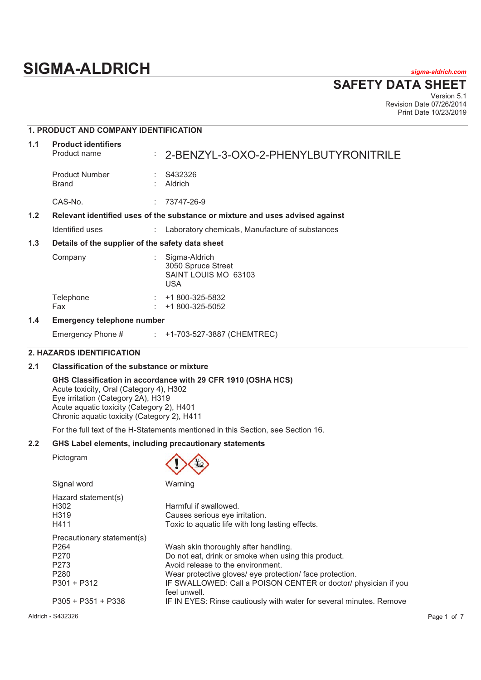# **SIGMA-ALDRICH** *sigma-aldrich.com*

**SAFETY DATA SHEET**

Version 5.1 Revision Date 07/26/2014 Print Date 10/23/2019

# **1. PRODUCT AND COMPANY IDENTIFICATION 1.1 Product identifiers**  Product name : 2-BENZYL-3-OXO-2-PHENYLBUTYRONITRILE Product Number : S432326<br>Brand : Aldrich : Aldrich CAS-No. : 73747-26-9 **1.2 Relevant identified uses of the substance or mixture and uses advised against**  Identified uses : Laboratory chemicals, Manufacture of substances **1.3 Details of the supplier of the safety data sheet**  Company : Sigma-Aldrich 3050 Spruce Street SAINT LOUIS MO 63103 USA Telephone : +1 800-325-5832 Fax : +1 800-325-5052 **1.4 Emergency telephone number**  Emergency Phone # : +1-703-527-3887 (CHEMTREC)

# **2. HAZARDS IDENTIFICATION**

# **2.1 Classification of the substance or mixture**

#### **GHS Classification in accordance with 29 CFR 1910 (OSHA HCS)**

Acute toxicity, Oral (Category 4), H302 Eye irritation (Category 2A), H319 Acute aquatic toxicity (Category 2), H401 Chronic aquatic toxicity (Category 2), H411

For the full text of the H-Statements mentioned in this Section, see Section 16.

#### **2.2 GHS Label elements, including precautionary statements**

Pictogram



| Signal word                                              | Warning                                                                                                     |
|----------------------------------------------------------|-------------------------------------------------------------------------------------------------------------|
| Hazard statement(s)<br>H302<br>H <sub>3</sub> 19<br>H411 | Harmful if swallowed.<br>Causes serious eye irritation.<br>Toxic to aquatic life with long lasting effects. |
| Precautionary statement(s)                               |                                                                                                             |
| P <sub>264</sub>                                         | Wash skin thoroughly after handling.                                                                        |
| P <sub>270</sub>                                         | Do not eat, drink or smoke when using this product.                                                         |
| P <sub>273</sub>                                         | Avoid release to the environment.                                                                           |
| P <sub>280</sub>                                         | Wear protective gloves/ eye protection/ face protection.                                                    |
| $P301 + P312$                                            | IF SWALLOWED: Call a POISON CENTER or doctor/ physician if you<br>feel unwell.                              |
| $P305 + P351 + P338$                                     | IF IN EYES: Rinse cautiously with water for several minutes. Remove                                         |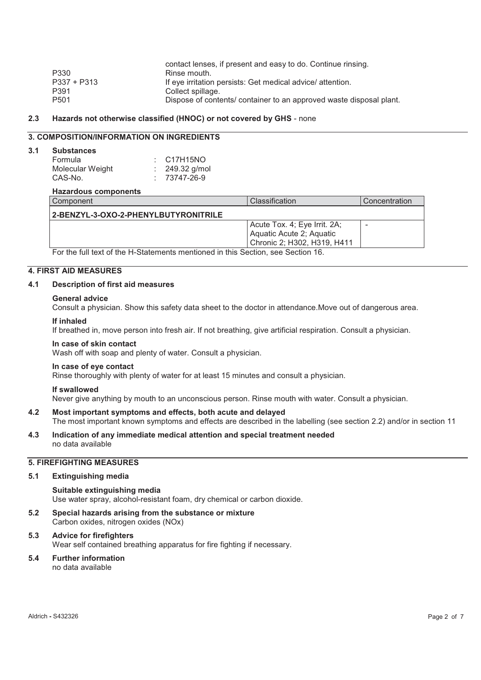|                  | contact lenses, if present and easy to do. Continue rinsing.        |
|------------------|---------------------------------------------------------------------|
| P330             | Rinse mouth.                                                        |
| $P337 + P313$    | If eye irritation persists: Get medical advice/ attention.          |
| P391             | Collect spillage.                                                   |
| P <sub>501</sub> | Dispose of contents/ container to an approved waste disposal plant. |

# **2.3 Hazards not otherwise classified (HNOC) or not covered by GHS** - none

# **3. COMPOSITION/INFORMATION ON INGREDIENTS**

#### **3.1 Substances**

| Formula          | $\therefore$ C17H15NO |
|------------------|-----------------------|
| Molecular Weight | : $249.32$ g/mol      |
| CAS-No.          | $: 73747 - 26 - 9$    |

#### **Hazardous components**

| Component                            | Classification                                                                            | Concentration |
|--------------------------------------|-------------------------------------------------------------------------------------------|---------------|
| 2-BENZYL-3-OXO-2-PHENYLBUTYRONITRILE |                                                                                           |               |
|                                      | Acute Tox. 4; Eye Irrit. 2A;<br>Aquatic Acute 2; Aquatic<br>l Chronic 2: H302. H319. H411 | -             |

For the full text of the H-Statements mentioned in this Section, see Section 16.

# **4. FIRST AID MEASURES**

## **4.1 Description of first aid measures**

#### **General advice**

Consult a physician. Show this safety data sheet to the doctor in attendance.Move out of dangerous area.

#### **If inhaled**

If breathed in, move person into fresh air. If not breathing, give artificial respiration. Consult a physician.

#### **In case of skin contact**

Wash off with soap and plenty of water. Consult a physician.

# **In case of eye contact**

Rinse thoroughly with plenty of water for at least 15 minutes and consult a physician.

#### **If swallowed**

Never give anything by mouth to an unconscious person. Rinse mouth with water. Consult a physician.

**4.2 Most important symptoms and effects, both acute and delayed**  The most important known symptoms and effects are described in the labelling (see section 2.2) and/or in section 11

#### **4.3 Indication of any immediate medical attention and special treatment needed**  no data available

# **5. FIREFIGHTING MEASURES**

# **5.1 Extinguishing media**

# **Suitable extinguishing media**  Use water spray, alcohol-resistant foam, dry chemical or carbon dioxide.

- **5.2 Special hazards arising from the substance or mixture**  Carbon oxides, nitrogen oxides (NOx)
- **5.3 Advice for firefighters**  Wear self contained breathing apparatus for fire fighting if necessary.

# **5.4 Further information**

no data available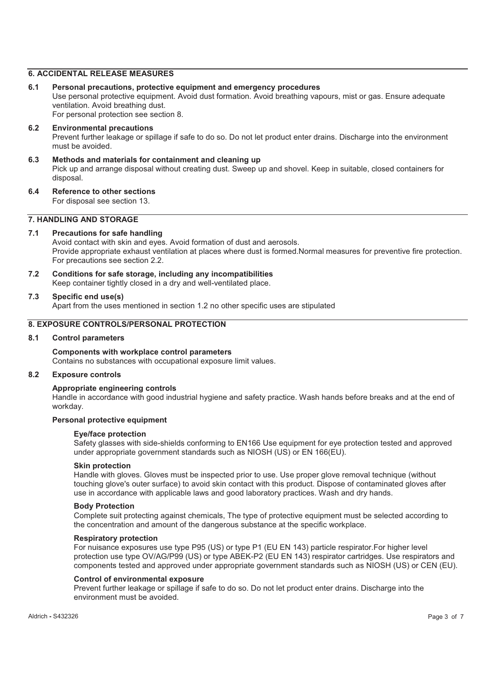# **6. ACCIDENTAL RELEASE MEASURES**

**6.1 Personal precautions, protective equipment and emergency procedures** 

Use personal protective equipment. Avoid dust formation. Avoid breathing vapours, mist or gas. Ensure adequate ventilation. Avoid breathing dust.

For personal protection see section 8.

- **6.2 Environmental precautions**  Prevent further leakage or spillage if safe to do so. Do not let product enter drains. Discharge into the environment must be avoided.
- **6.3 Methods and materials for containment and cleaning up**  Pick up and arrange disposal without creating dust. Sweep up and shovel. Keep in suitable, closed containers for disposal.
- **6.4 Reference to other sections**

For disposal see section 13.

# **7. HANDLING AND STORAGE**

#### **7.1 Precautions for safe handling**

Avoid contact with skin and eyes. Avoid formation of dust and aerosols. Provide appropriate exhaust ventilation at places where dust is formed.Normal measures for preventive fire protection. For precautions see section 2.2.

**7.2 Conditions for safe storage, including any incompatibilities**  Keep container tightly closed in a dry and well-ventilated place.

#### **7.3 Specific end use(s)**

Apart from the uses mentioned in section 1.2 no other specific uses are stipulated

# **8. EXPOSURE CONTROLS/PERSONAL PROTECTION**

#### **8.1 Control parameters**

# **Components with workplace control parameters**

Contains no substances with occupational exposure limit values.

# **8.2 Exposure controls**

#### **Appropriate engineering controls**

Handle in accordance with good industrial hygiene and safety practice. Wash hands before breaks and at the end of workday.

#### **Personal protective equipment**

#### **Eye/face protection**

Safety glasses with side-shields conforming to EN166 Use equipment for eye protection tested and approved under appropriate government standards such as NIOSH (US) or EN 166(EU).

#### **Skin protection**

Handle with gloves. Gloves must be inspected prior to use. Use proper glove removal technique (without touching glove's outer surface) to avoid skin contact with this product. Dispose of contaminated gloves after use in accordance with applicable laws and good laboratory practices. Wash and dry hands.

#### **Body Protection**

Complete suit protecting against chemicals, The type of protective equipment must be selected according to the concentration and amount of the dangerous substance at the specific workplace.

#### **Respiratory protection**

For nuisance exposures use type P95 (US) or type P1 (EU EN 143) particle respirator.For higher level protection use type OV/AG/P99 (US) or type ABEK-P2 (EU EN 143) respirator cartridges. Use respirators and components tested and approved under appropriate government standards such as NIOSH (US) or CEN (EU).

#### **Control of environmental exposure**

Prevent further leakage or spillage if safe to do so. Do not let product enter drains. Discharge into the environment must be avoided.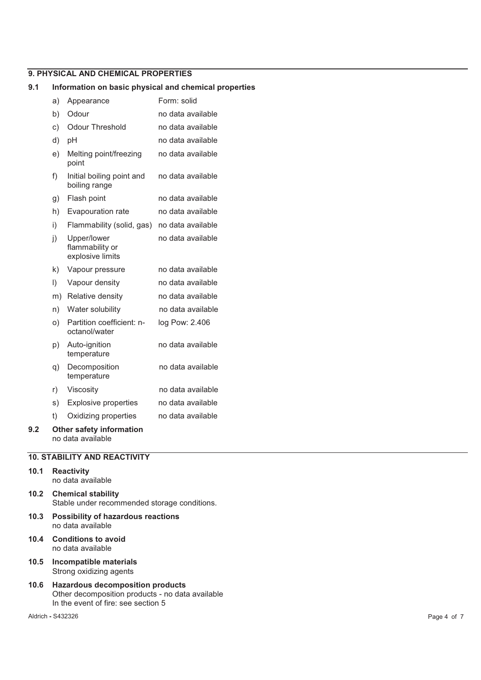# **9. PHYSICAL AND CHEMICAL PROPERTIES**

#### **9.1 Information on basic physical and chemical properties**

|     | a)        | Appearance                                         | Form: solid       |
|-----|-----------|----------------------------------------------------|-------------------|
|     | b)        | Odour                                              | no data available |
|     | c)        | <b>Odour Threshold</b>                             | no data available |
|     | d)        | рH                                                 | no data available |
|     | e)        | Melting point/freezing<br>point                    | no data available |
|     | f)        | Initial boiling point and<br>boiling range         | no data available |
|     | g)        | Flash point                                        | no data available |
|     | h)        | Evapouration rate                                  | no data available |
|     | i)        | Flammability (solid, gas)                          | no data available |
|     | j)        | Upper/lower<br>flammability or<br>explosive limits | no data available |
|     | k)        | Vapour pressure                                    | no data available |
|     | $\vert$ ) | Vapour density                                     | no data available |
|     | m)        | Relative density                                   | no data available |
|     | n)        | Water solubility                                   | no data available |
|     | O)        | Partition coefficient: n-<br>octanol/water         | log Pow: 2.406    |
|     | p)        | Auto-ignition<br>temperature                       | no data available |
|     | q)        | Decomposition<br>temperature                       | no data available |
|     | r)        | Viscosity                                          | no data available |
|     | s)        | <b>Explosive properties</b>                        | no data available |
|     | t)        | Oxidizing properties                               | no data available |
| 9.2 |           | <b>Other safety information</b>                    |                   |

no data available

# **10. STABILITY AND REACTIVITY**

# **10.1 Reactivity**

no data available **10.2 Chemical stability**  Stable under recommended storage conditions.

- **10.3 Possibility of hazardous reactions**  no data available
- **10.4 Conditions to avoid**  no data available
- **10.5 Incompatible materials**  Strong oxidizing agents
- **10.6 Hazardous decomposition products**  Other decomposition products - no data available In the event of fire: see section 5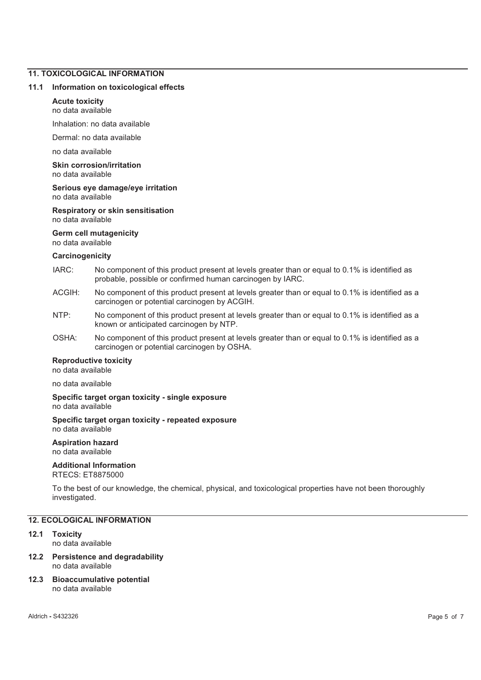# **11. TOXICOLOGICAL INFORMATION**

#### **11.1 Information on toxicological effects**

## **Acute toxicity**

no data available

Inhalation: no data available

Dermal: no data available

no data available

**Skin corrosion/irritation**  no data available

#### **Serious eye damage/eye irritation**  no data available

**Respiratory or skin sensitisation**  no data available

# **Germ cell mutagenicity**

no data available

#### **Carcinogenicity**

- IARC: No component of this product present at levels greater than or equal to 0.1% is identified as probable, possible or confirmed human carcinogen by IARC.
- ACGIH: No component of this product present at levels greater than or equal to 0.1% is identified as a carcinogen or potential carcinogen by ACGIH.
- NTP: No component of this product present at levels greater than or equal to 0.1% is identified as a known or anticipated carcinogen by NTP.
- OSHA: No component of this product present at levels greater than or equal to 0.1% is identified as a carcinogen or potential carcinogen by OSHA.

# **Reproductive toxicity**

no data available

no data available

#### **Specific target organ toxicity - single exposure**  no data available

#### **Specific target organ toxicity - repeated exposure**  no data available

#### **Aspiration hazard**  no data available

# **Additional Information**

RTECS: ET8875000

To the best of our knowledge, the chemical, physical, and toxicological properties have not been thoroughly investigated.

# **12. ECOLOGICAL INFORMATION**

# **12.1 Toxicity**

no data available

#### **12.2 Persistence and degradability**  no data available

#### **12.3 Bioaccumulative potential**  no data available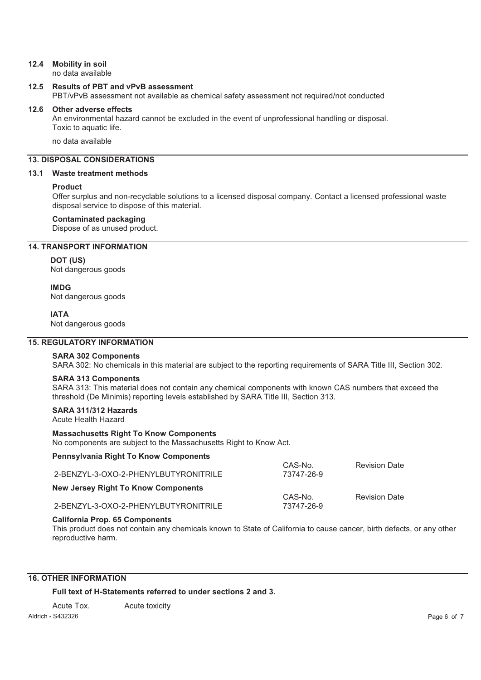# **12.4 Mobility in soil**

no data available

# **12.5 Results of PBT and vPvB assessment**

PBT/vPvB assessment not available as chemical safety assessment not required/not conducted

#### **12.6 Other adverse effects**

An environmental hazard cannot be excluded in the event of unprofessional handling or disposal. Toxic to aquatic life.

no data available

# **13. DISPOSAL CONSIDERATIONS**

## **13.1 Waste treatment methods**

#### **Product**

Offer surplus and non-recyclable solutions to a licensed disposal company. Contact a licensed professional waste disposal service to dispose of this material.

#### **Contaminated packaging**

Dispose of as unused product.

# **14. TRANSPORT INFORMATION**

# **DOT (US)**

Not dangerous goods

# **IMDG**

Not dangerous goods

#### **IATA**

Not dangerous goods

# **15. REGULATORY INFORMATION**

#### **SARA 302 Components**

SARA 302: No chemicals in this material are subject to the reporting requirements of SARA Title III, Section 302.

#### **SARA 313 Components**

SARA 313: This material does not contain any chemical components with known CAS numbers that exceed the threshold (De Minimis) reporting levels established by SARA Title III, Section 313.

# **SARA 311/312 Hazards**

Acute Health Hazard

#### **Massachusetts Right To Know Components**

No components are subject to the Massachusetts Right to Know Act.

## **Pennsylvania Right To Know Components**

| 2-BENZYL-3-OXO-2-PHENYLBUTYRONITRILE       | CAS-No.<br>73747-26-9 | <b>Revision Date</b> |
|--------------------------------------------|-----------------------|----------------------|
| <b>New Jersey Right To Know Components</b> |                       |                      |
| 2-BENZYL-3-OXO-2-PHENYLBUTYRONITRILE       | CAS-No.<br>73747-26-9 | <b>Revision Date</b> |

#### **California Prop. 65 Components**

This product does not contain any chemicals known to State of California to cause cancer, birth defects, or any other reproductive harm.

# **16. OTHER INFORMATION**

**Full text of H-Statements referred to under sections 2 and 3.** 

Acute Tox. Acute toxicity

Aldrich **-** S432326 Page 6 of 7